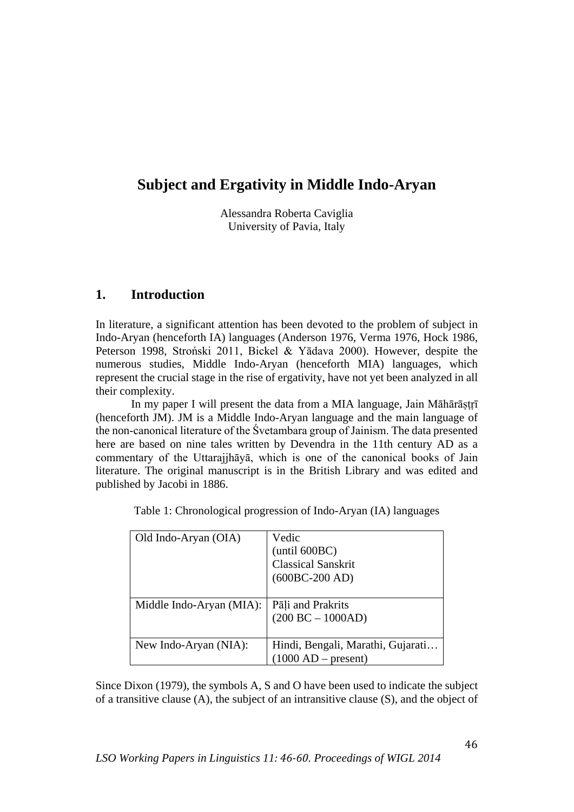# **Subject and Ergativity in Middle Indo-Aryan**

Alessandra Roberta Caviglia University of Pavia, Italy

# **1. Introduction**

In literature, a significant attention has been devoted to the problem of subject in Indo-Aryan (henceforth IA) languages (Anderson 1976, Verma 1976, Hock 1986, Peterson 1998, Stroński 2011, Bickel & Yādava 2000). However, despite the numerous studies, Middle Indo-Aryan (henceforth MIA) languages, which represent the crucial stage in the rise of ergativity, have not yet been analyzed in all their complexity.

In my paper I will present the data from a MIA language, Jain Māhārāstrī (henceforth JM). JM is a Middle Indo-Aryan language and the main language of the non-canonical literature of the Śvetambara group of Jainism. The data presented here are based on nine tales written by Devendra in the 11th century AD as a commentary of the Uttarajjhāyā, which is one of the canonical books of Jain literature. The original manuscript is in the British Library and was edited and published by Jacobi in 1886.

| Old Indo-Aryan (OIA)     | Vedic<br>(until 600BC)<br><b>Classical Sanskrit</b><br>$(600BC-200 AD)$ |
|--------------------------|-------------------------------------------------------------------------|
| Middle Indo-Aryan (MIA): | Pāļi and Prakrits<br>$(200 BC - 1000AD)$                                |
| New Indo-Aryan (NIA):    | Hindi, Bengali, Marathi, Gujarati<br>$(1000 AD - present)$              |

Table 1: Chronological progression of Indo-Aryan (IA) languages

Since Dixon (1979), the symbols A, S and O have been used to indicate the subject of a transitive clause (A), the subject of an intransitive clause (S), and the object of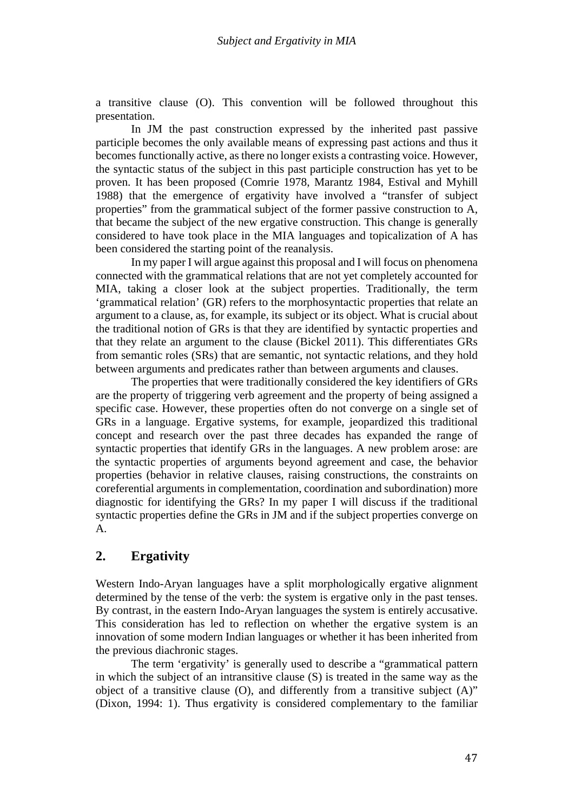a transitive clause (O). This convention will be followed throughout this presentation.

In JM the past construction expressed by the inherited past passive participle becomes the only available means of expressing past actions and thus it becomes functionally active, as there no longer exists a contrasting voice. However, the syntactic status of the subject in this past participle construction has yet to be proven. It has been proposed (Comrie 1978, Marantz 1984, Estival and Myhill 1988) that the emergence of ergativity have involved a "transfer of subject properties" from the grammatical subject of the former passive construction to A, that became the subject of the new ergative construction. This change is generally considered to have took place in the MIA languages and topicalization of A has been considered the starting point of the reanalysis.

In my paper I will argue against this proposal and I will focus on phenomena connected with the grammatical relations that are not yet completely accounted for MIA, taking a closer look at the subject properties. Traditionally, the term 'grammatical relation' (GR) refers to the morphosyntactic properties that relate an argument to a clause, as, for example, its subject or its object. What is crucial about the traditional notion of GRs is that they are identified by syntactic properties and that they relate an argument to the clause (Bickel 2011). This differentiates GRs from semantic roles (SRs) that are semantic, not syntactic relations, and they hold between arguments and predicates rather than between arguments and clauses.

The properties that were traditionally considered the key identifiers of GRs are the property of triggering verb agreement and the property of being assigned a specific case. However, these properties often do not converge on a single set of GRs in a language. Ergative systems, for example, jeopardized this traditional concept and research over the past three decades has expanded the range of syntactic properties that identify GRs in the languages. A new problem arose: are the syntactic properties of arguments beyond agreement and case, the behavior properties (behavior in relative clauses, raising constructions, the constraints on coreferential arguments in complementation, coordination and subordination) more diagnostic for identifying the GRs? In my paper I will discuss if the traditional syntactic properties define the GRs in JM and if the subject properties converge on A.

# **2. Ergativity**

Western Indo-Aryan languages have a split morphologically ergative alignment determined by the tense of the verb: the system is ergative only in the past tenses. By contrast, in the eastern Indo-Aryan languages the system is entirely accusative. This consideration has led to reflection on whether the ergative system is an innovation of some modern Indian languages or whether it has been inherited from the previous diachronic stages.

The term 'ergativity' is generally used to describe a "grammatical pattern in which the subject of an intransitive clause (S) is treated in the same way as the object of a transitive clause (O), and differently from a transitive subject (A)" (Dixon, 1994: 1). Thus ergativity is considered complementary to the familiar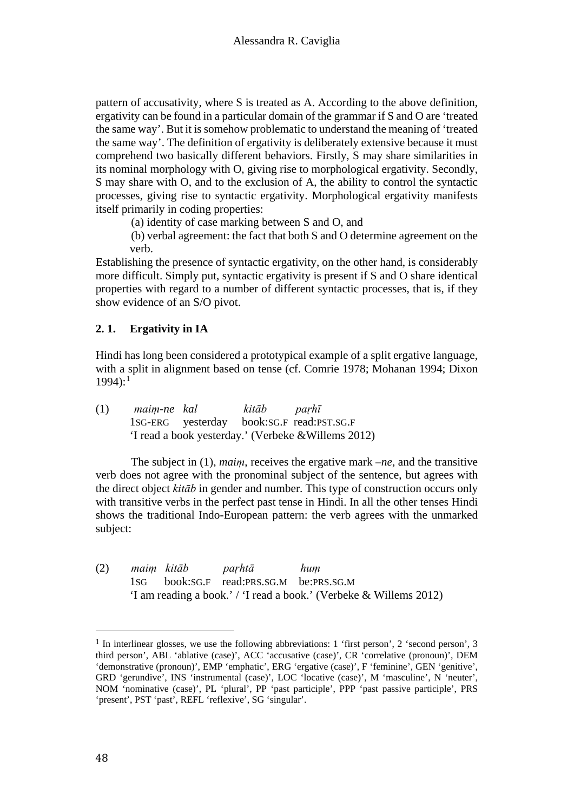pattern of accusativity, where S is treated as A. According to the above definition, ergativity can be found in a particular domain of the grammar if S and O are 'treated the same way'. But it is somehow problematic to understand the meaning of 'treated the same way'. The definition of ergativity is deliberately extensive because it must comprehend two basically different behaviors. Firstly, S may share similarities in its nominal morphology with O, giving rise to morphological ergativity. Secondly, S may share with O, and to the exclusion of A, the ability to control the syntactic processes, giving rise to syntactic ergativity. Morphological ergativity manifests itself primarily in coding properties:

(a) identity of case marking between S and O, and

(b) verbal agreement: the fact that both S and O determine agreement on the verb.

Establishing the presence of syntactic ergativity, on the other hand, is considerably more difficult. Simply put, syntactic ergativity is present if S and O share identical properties with regard to a number of different syntactic processes, that is, if they show evidence of an S/O pivot.

### **2. 1. Ergativity in IA**

Hindi has long been considered a prototypical example of a split ergative language, with a split in alignment based on tense (cf. Comrie 1978; Mohanan 1994; Dixon  $1994$  $1994$ :<sup>1</sup>

(1) *maiṃ-ne kal kitāb paṛhī* 1SG-ERG yesterday book:SG.F read:PST.SG.F 'I read a book yesterday.' (Verbeke &Willems 2012)

The subject in (1), *maim*, receives the ergative mark *–ne*, and the transitive verb does not agree with the pronominal subject of the sentence, but agrees with the direct object *kitāb* in gender and number. This type of construction occurs only with transitive verbs in the perfect past tense in Hindi. In all the other tenses Hindi shows the traditional Indo-European pattern: the verb agrees with the unmarked subject:

(2) *maiṃ kitāb paṛhtā huṃ* 1SG book:SG.F read:PRS.SG.M be:PRS.SG.M 'I am reading a book.' / 'I read a book.' (Verbeke & Willems 2012)

i<br>I

<span id="page-2-0"></span><sup>1</sup> In interlinear glosses, we use the following abbreviations: 1 'first person', 2 'second person', 3 third person', ABL 'ablative (case)', ACC 'accusative (case)', CR 'correlative (pronoun)', DEM 'demonstrative (pronoun)', EMP 'emphatic', ERG 'ergative (case)', F 'feminine', GEN 'genitive', GRD 'gerundive', INS 'instrumental (case)', LOC 'locative (case)', M 'masculine', N 'neuter', NOM 'nominative (case)', PL 'plural', PP 'past participle', PPP 'past passive participle', PRS 'present', PST 'past', REFL 'reflexive', SG 'singular'.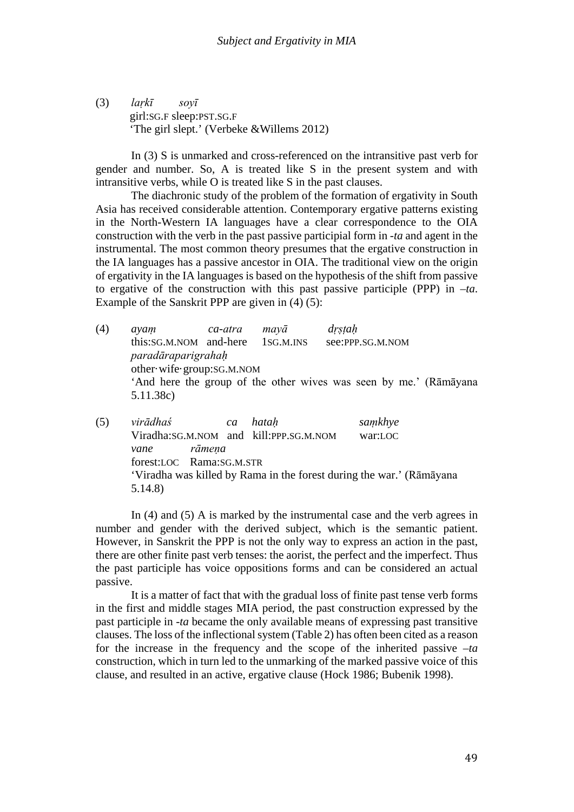(3) *laṛkī soyī* girl:SG.F sleep:PST.SG.F 'The girl slept.' (Verbeke &Willems 2012)

In (3) S is unmarked and cross-referenced on the intransitive past verb for gender and number. So, A is treated like S in the present system and with intransitive verbs, while O is treated like S in the past clauses.

The diachronic study of the problem of the formation of ergativity in South Asia has received considerable attention. Contemporary ergative patterns existing in the North-Western IA languages have a clear correspondence to the OIA construction with the verb in the past passive participial form in *-ta* and agent in the instrumental. The most common theory presumes that the ergative construction in the IA languages has a passive ancestor in OIA. The traditional view on the origin of ergativity in the IA languages is based on the hypothesis of the shift from passive to ergative of the construction with this past passive participle (PPP) in *–ta*. Example of the Sanskrit PPP are given in (4) (5):

- (4) *ayaṃ ca-atra mayā dṛṣṭaḥ* this:SG.M.NOM and-here 1SG.M.INS see:PPP.SG.M.NOM *paradāraparigrahaḥ* other·wife·group:SG.M.NOM 'And here the group of the other wives was seen by me.' (Rāmāyana 5.11.38c)
- (5) *virādhaś ca hataḥ saṃkhye* Viradha:SG.M.NOM and kill:PPP.SG.M.NOM war:LOC *vane rāmeṇa*  forest:LOC Rama:SG.M.STR 'Viradha was killed by Rama in the forest during the war.' (Rāmāyana 5.14.8)

In (4) and (5) A is marked by the instrumental case and the verb agrees in number and gender with the derived subject, which is the semantic patient. However, in Sanskrit the PPP is not the only way to express an action in the past, there are other finite past verb tenses: the aorist, the perfect and the imperfect. Thus the past participle has voice oppositions forms and can be considered an actual passive.

It is a matter of fact that with the gradual loss of finite past tense verb forms in the first and middle stages MIA period, the past construction expressed by the past participle in *-ta* became the only available means of expressing past transitive clauses. The loss of the inflectional system (Table 2) has often been cited as a reason for the increase in the frequency and the scope of the inherited passive *–ta* construction, which in turn led to the unmarking of the marked passive voice of this clause, and resulted in an active, ergative clause (Hock 1986; Bubenik 1998).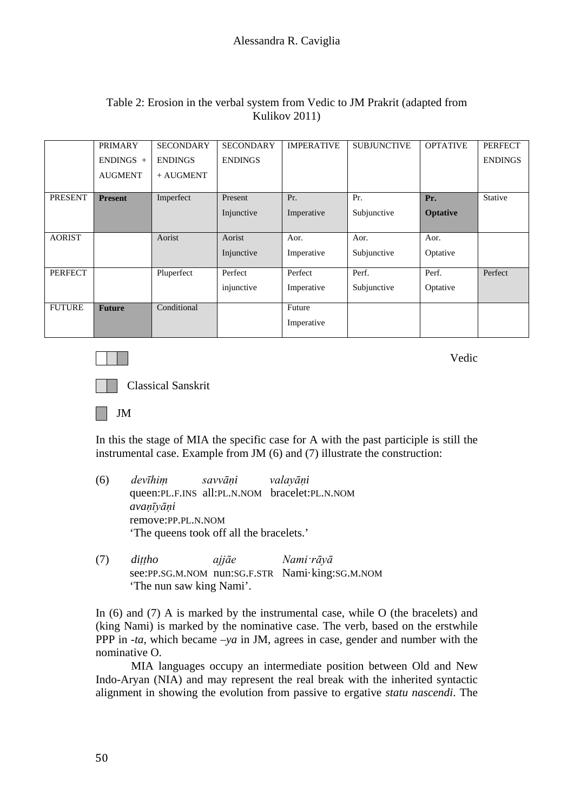#### Table 2: Erosion in the verbal system from Vedic to JM Prakrit (adapted from Kulikov 2011)

|                | <b>PRIMARY</b> | <b>SECONDARY</b> | <b>SECONDARY</b> | <b>IMPERATIVE</b> | <b>SUBJUNCTIVE</b> | <b>OPTATIVE</b> | <b>PERFECT</b> |
|----------------|----------------|------------------|------------------|-------------------|--------------------|-----------------|----------------|
|                | $ENDINGS +$    | <b>ENDINGS</b>   | <b>ENDINGS</b>   |                   |                    |                 | <b>ENDINGS</b> |
|                | <b>AUGMENT</b> | $+$ AUGMENT      |                  |                   |                    |                 |                |
| <b>PRESENT</b> | <b>Present</b> | Imperfect        | Present          | Pr.               | Pr.                | Pr.             | <b>Stative</b> |
|                |                |                  | Injunctive       | Imperative        | Subjunctive        | <b>Optative</b> |                |
|                |                |                  |                  |                   |                    |                 |                |
| <b>AORIST</b>  |                | Aorist           | Aorist           | Aor.              | Aor.               | Aor.            |                |
|                |                |                  | Injunctive       | Imperative        | Subjunctive        | Optative        |                |
| <b>PERFECT</b> |                | Pluperfect       | Perfect          | Perfect           | Perf.              | Perf.           | Perfect        |
|                |                |                  | injunctive       | Imperative        | Subjunctive        | Optative        |                |
| <b>FUTURE</b>  | <b>Future</b>  | Conditional      |                  | Future            |                    |                 |                |
|                |                |                  |                  | Imperative        |                    |                 |                |

Vedic



Classical Sanskrit

JM

In this the stage of MIA the specific case for A with the past participle is still the instrumental case. Example from JM (6) and (7) illustrate the construction:

- (6) *devīhiṃ savvāṇi valayāṇi*  queen:PL.F.INS all:PL.N.NOM bracelet:PL.N.NOM *avaṇīyāṇi* remove:PP.PL.N.NOM 'The queens took off all the bracelets.'
- (7) *diṭṭho ajjāe Nami·rāyā* see:PP.SG.M.NOM nun:SG.F.STR Nami·king:SG.M.NOM 'The nun saw king Nami'.

In (6) and (7) A is marked by the instrumental case, while O (the bracelets) and (king Nami) is marked by the nominative case. The verb, based on the erstwhile PPP in *-ta*, which became *–ya* in JM, agrees in case, gender and number with the nominative O.

MIA languages occupy an intermediate position between Old and New Indo-Aryan (NIA) and may represent the real break with the inherited syntactic alignment in showing the evolution from passive to ergative *statu nascendi*. The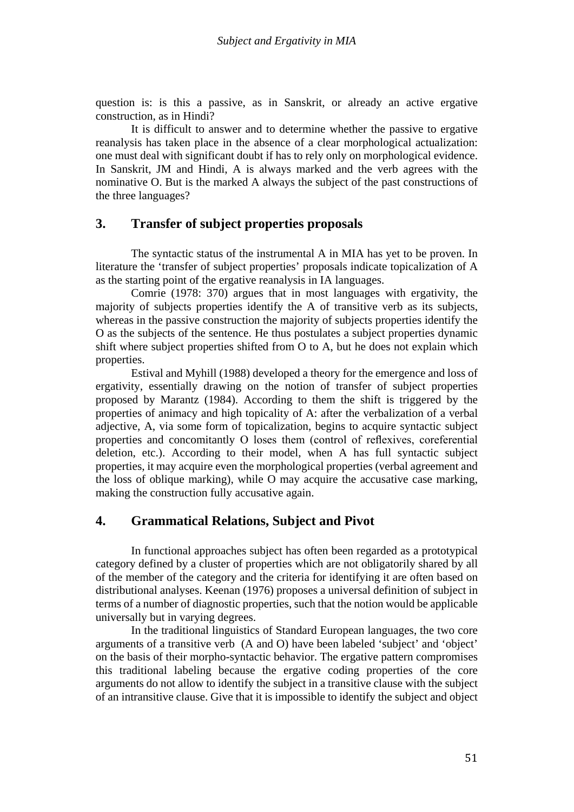question is: is this a passive, as in Sanskrit, or already an active ergative construction, as in Hindi?

It is difficult to answer and to determine whether the passive to ergative reanalysis has taken place in the absence of a clear morphological actualization: one must deal with significant doubt if has to rely only on morphological evidence. In Sanskrit, JM and Hindi, A is always marked and the verb agrees with the nominative O. But is the marked A always the subject of the past constructions of the three languages?

### **3. Transfer of subject properties proposals**

The syntactic status of the instrumental A in MIA has yet to be proven. In literature the 'transfer of subject properties' proposals indicate topicalization of A as the starting point of the ergative reanalysis in IA languages.

Comrie (1978: 370) argues that in most languages with ergativity, the majority of subjects properties identify the A of transitive verb as its subjects, whereas in the passive construction the majority of subjects properties identify the O as the subjects of the sentence. He thus postulates a subject properties dynamic shift where subject properties shifted from O to A, but he does not explain which properties.

Estival and Myhill (1988) developed a theory for the emergence and loss of ergativity, essentially drawing on the notion of transfer of subject properties proposed by Marantz (1984). According to them the shift is triggered by the properties of animacy and high topicality of A: after the verbalization of a verbal adjective, A, via some form of topicalization, begins to acquire syntactic subject properties and concomitantly O loses them (control of reflexives, coreferential deletion, etc.). According to their model, when A has full syntactic subject properties, it may acquire even the morphological properties (verbal agreement and the loss of oblique marking), while O may acquire the accusative case marking, making the construction fully accusative again.

# **4. Grammatical Relations, Subject and Pivot**

In functional approaches subject has often been regarded as a prototypical category defined by a cluster of properties which are not obligatorily shared by all of the member of the category and the criteria for identifying it are often based on distributional analyses. Keenan (1976) proposes a universal definition of subject in terms of a number of diagnostic properties, such that the notion would be applicable universally but in varying degrees.

In the traditional linguistics of Standard European languages, the two core arguments of a transitive verb (A and O) have been labeled 'subject' and 'object' on the basis of their morpho-syntactic behavior. The ergative pattern compromises this traditional labeling because the ergative coding properties of the core arguments do not allow to identify the subject in a transitive clause with the subject of an intransitive clause. Give that it is impossible to identify the subject and object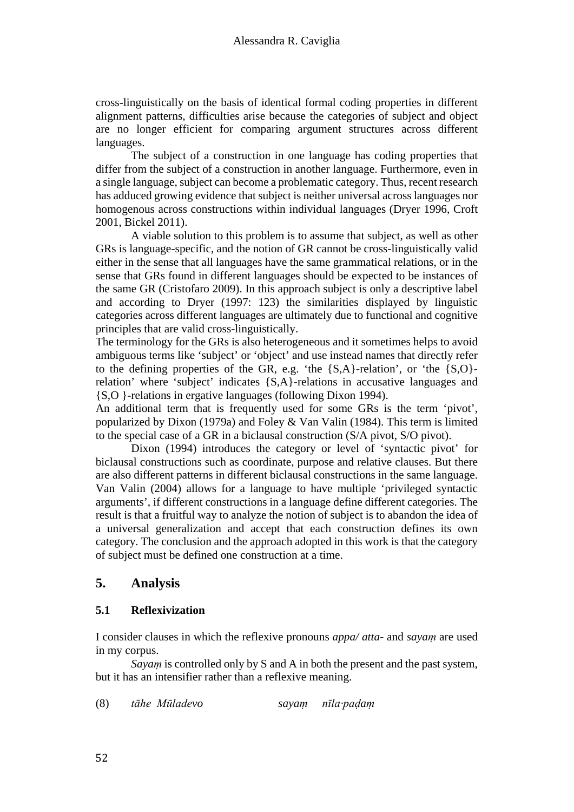cross-linguistically on the basis of identical formal coding properties in different alignment patterns, difficulties arise because the categories of subject and object are no longer efficient for comparing argument structures across different languages.

The subject of a construction in one language has coding properties that differ from the subject of a construction in another language. Furthermore, even in a single language, subject can become a problematic category. Thus, recent research has adduced growing evidence that subject is neither universal across languages nor homogenous across constructions within individual languages (Dryer 1996, Croft 2001, Bickel 2011).

A viable solution to this problem is to assume that subject, as well as other GRs is language-specific, and the notion of GR cannot be cross-linguistically valid either in the sense that all languages have the same grammatical relations, or in the sense that GRs found in different languages should be expected to be instances of the same GR (Cristofaro 2009). In this approach subject is only a descriptive label and according to Dryer (1997: 123) the similarities displayed by linguistic categories across different languages are ultimately due to functional and cognitive principles that are valid cross-linguistically.

The terminology for the GRs is also heterogeneous and it sometimes helps to avoid ambiguous terms like 'subject' or 'object' and use instead names that directly refer to the defining properties of the GR, e.g. 'the  $\{S, A\}$ -relation', or 'the  $\{S, O\}$ relation' where 'subject' indicates {S,A}-relations in accusative languages and {S,O }-relations in ergative languages (following Dixon 1994).

An additional term that is frequently used for some GRs is the term 'pivot', popularized by Dixon (1979a) and Foley & Van Valin (1984). This term is limited to the special case of a GR in a biclausal construction (S/A pivot, S/O pivot).

Dixon (1994) introduces the category or level of 'syntactic pivot' for biclausal constructions such as coordinate, purpose and relative clauses. But there are also different patterns in different biclausal constructions in the same language. Van Valin (2004) allows for a language to have multiple 'privileged syntactic arguments', if different constructions in a language define different categories. The result is that a fruitful way to analyze the notion of subject is to abandon the idea of a universal generalization and accept that each construction defines its own category. The conclusion and the approach adopted in this work is that the category of subject must be defined one construction at a time.

# **5. Analysis**

# **5.1 Reflexivization**

I consider clauses in which the reflexive pronouns *appa/ atta-* and *sayaṃ* are used in my corpus.

*Sayam* is controlled only by S and A in both the present and the past system, but it has an intensifier rather than a reflexive meaning.

(8) *tāhe Mūladevo sayaṃ nīla·paḍaṃ*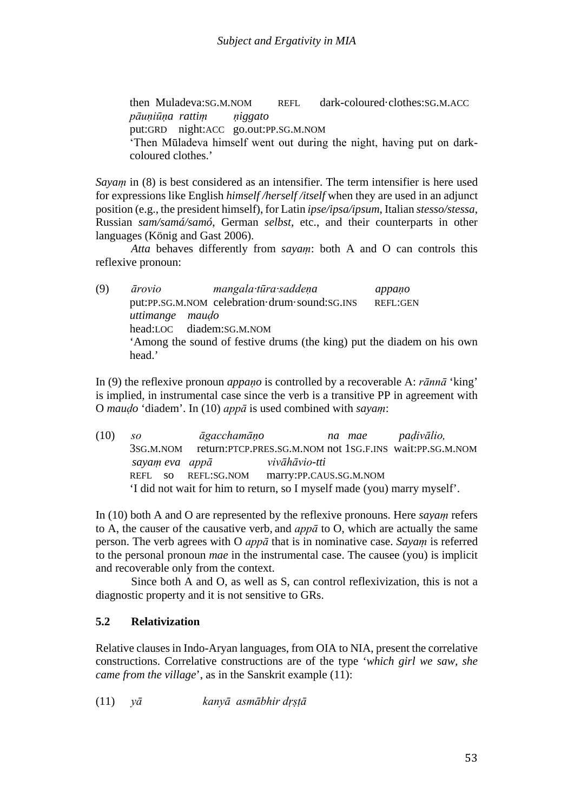then Muladeva:SG.M.NOM REFL dark-coloured·clothes:SG.M.ACC *pāuṇiūṇa rattiṃ ṇiggato* put:GRD night:ACC go.out:PP.SG.M.NOM 'Then Mūladeva himself went out during the night, having put on darkcoloured clothes.'

*Sayaṃ* in (8) is best considered as an intensifier. The term intensifier is here used for expressions like English *himself /herself /itself* when they are used in an adjunct position (e.g., the president himself), for Latin *ipse/ipsa/ipsum*, Italian *stesso/stessa*, Russian *sam/samá/samó*, German *selbst*, etc., and their counterparts in other languages (König and Gast 2006).

*Atta* behaves differently from *sayaṃ*: both A and O can controls this reflexive pronoun:

(9) *ārovio mangala·tūra·saddeṇa appaṇo*  put:PP.SG.M.NOM celebration·drum·sound:SG.INS REFL:GEN *uttimange mauḍo* head:LOC diadem:SG.M.NOM 'Among the sound of festive drums (the king) put the diadem on his own head.'

In (9) the reflexive pronoun *appaṇo* is controlled by a recoverable A: *rānnā* 'king' is implied, in instrumental case since the verb is a transitive PP in agreement with O *mauḍo* 'diadem'. In (10) *appā* is used combined with *sayaṃ*:

(10) *so āgacchamāṇo na mae paḍivālio,*  3SG.M.NOM return:PTCP.PRES.SG.M.NOM not 1SG.F.INS wait:PP.SG.M.NOM *sayaṃ eva appā vivāhāvio-tti* REFL so REFL:SG.NOM marry:PP.CAUS.SG.M.NOM 'I did not wait for him to return, so I myself made (you) marry myself'.

In (10) both A and O are represented by the reflexive pronouns. Here *sayaṃ* refers to A, the causer of the causative verb, and *appā* to O, which are actually the same person. The verb agrees with O *appā* that is in nominative case. *Sayaṃ* is referred to the personal pronoun *mae* in the instrumental case. The causee (you) is implicit and recoverable only from the context.

Since both A and O, as well as S, can control reflexivization, this is not a diagnostic property and it is not sensitive to GRs.

# **5.2 Relativization**

Relative clauses in Indo-Aryan languages, from OIA to NIA, present the correlative constructions. Correlative constructions are of the type '*which girl we saw, she came from the village*', as in the Sanskrit example (11):

(11) *yā kanyā asmābhir dṛṣṭā*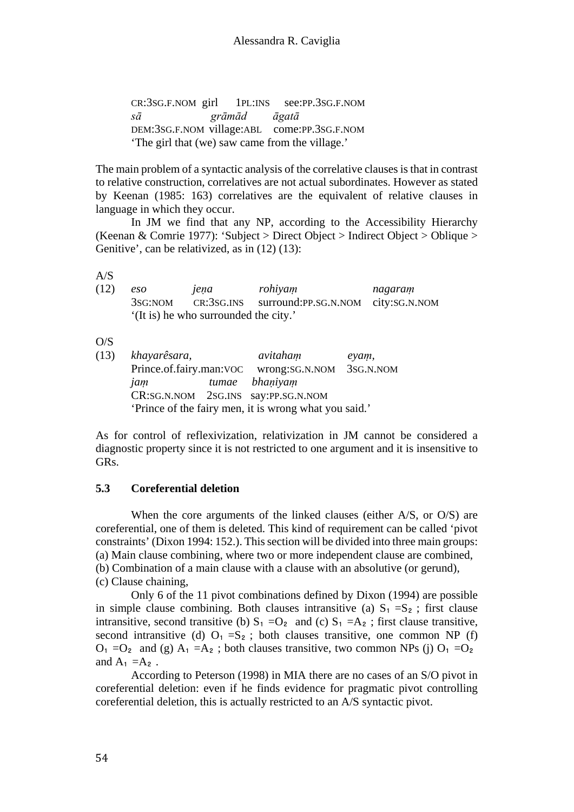CR:3SG.F.NOM girl 1PL:INS see:PP.3SG.F.NOM *sā grāmād āgatā* DEM:3SG.F.NOM village:ABL come:PP.3SG.F.NOM 'The girl that (we) saw came from the village.'

The main problem of a syntactic analysis of the correlative clauses is that in contrast to relative construction, correlatives are not actual subordinates. However as stated by Keenan (1985: 163) correlatives are the equivalent of relative clauses in language in which they occur.

In JM we find that any NP, according to the Accessibility Hierarchy (Keenan & Comrie 1977): 'Subject > Direct Object > Indirect Object > Oblique > Genitive', can be relativized, as in (12) (13):

A/S

(12) *eso jeṇa rohiyaṃ nagaraṃ* 3SG:NOM CR:3SG.INS surround:PP.SG.N.NOM city:SG.N.NOM '(It is) he who surrounded the city.'

O/S

(13) *khayarêsara, avitahaṃ eyaṃ,*  Prince.of.fairy.man:VOC wrong:SG.N.NOM 3SG.N.NOM *jaṃ tumae bhaṇiyaṃ* CR:SG.N.NOM 2SG.INS say:PP.SG.N.NOM 'Prince of the fairy men, it is wrong what you said.'

As for control of reflexivization, relativization in JM cannot be considered a diagnostic property since it is not restricted to one argument and it is insensitive to GRs.

#### **5.3 Coreferential deletion**

When the core arguments of the linked clauses (either A/S, or O/S) are coreferential, one of them is deleted. This kind of requirement can be called 'pivot constraints' (Dixon 1994: 152.). This section will be divided into three main groups: (a) Main clause combining, where two or more independent clause are combined, (b) Combination of a main clause with a clause with an absolutive (or gerund), (c) Clause chaining,

Only 6 of the 11 pivot combinations defined by Dixon (1994) are possible in simple clause combining. Both clauses intransitive (a)  $S_1 = S_2$ ; first clause intransitive, second transitive (b)  $S_1 = O_2$  and (c)  $S_1 = A_2$ ; first clause transitive, second intransitive (d)  $O_1 = S_2$ ; both clauses transitive, one common NP (f)  $O_1 = O_2$  and (g)  $A_1 = A_2$ ; both clauses transitive, two common NPs (j)  $O_1 = O_2$ and  $A_1 = A_2$ .

According to Peterson (1998) in MIA there are no cases of an S/O pivot in coreferential deletion: even if he finds evidence for pragmatic pivot controlling coreferential deletion, this is actually restricted to an A/S syntactic pivot.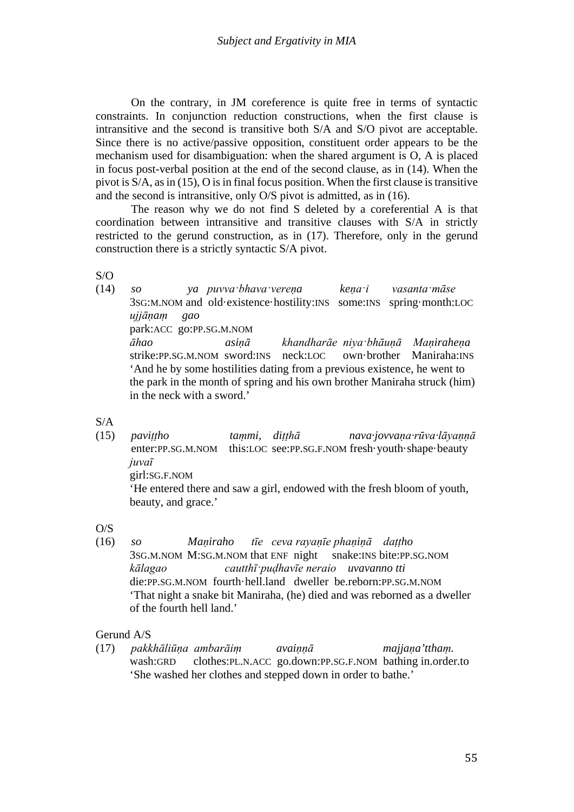On the contrary, in JM coreference is quite free in terms of syntactic constraints. In conjunction reduction constructions, when the first clause is intransitive and the second is transitive both S/A and S/O pivot are acceptable. Since there is no active/passive opposition, constituent order appears to be the mechanism used for disambiguation: when the shared argument is O, A is placed in focus post-verbal position at the end of the second clause, as in (14). When the pivot is S/A, as in (15), O is in final focus position. When the first clause is transitive and the second is intransitive, only O/S pivot is admitted, as in (16).

The reason why we do not find S deleted by a coreferential A is that coordination between intransitive and transitive clauses with S/A in strictly restricted to the gerund construction, as in (17). Therefore, only in the gerund construction there is a strictly syntactic S/A pivot.

S/O

(14) *so ya puvva·bhava·vereṇa keṇa·i vasanta·māse*  3SG:M.NOM and old·existence·hostility:INS some:INS spring·month:LOC *ujjāṇaṃ gao*  park:ACC go:PP.SG.M.NOM *āhao asiṇā khandharāe niya·bhāuṇā Maṇiraheṇa* strike:PP.SG.M.NOM sword:INS neck:LOC own-brother Maniraha:INS 'And he by some hostilities dating from a previous existence, he went to the park in the month of spring and his own brother Maniraha struck (him) in the neck with a sword.'

 $S/A$ 

(15) *paviṭṭho taṃmi, diṭṭhā nava·jovvaṇa·rūva·lāyaṇṇā*  enter:PP.SG.M.NOM this:LOC see:PP.SG.F.NOM fresh·youth·shape·beauty *juvaī* girl:SG.F.NOM 'He entered there and saw a girl, endowed with the fresh bloom of youth, beauty, and grace.'

 $O/S$ 

(16) *so Maṇiraho tīe ceva rayaṇīe phaṇiṇā daṭṭho*  3SG.M.NOM M:SG.M.NOM that ENF night snake:INS bite:PP.SG.NOM *kālagao cautthī·puḍhavīe neraio uvavanno tti* die:PP.SG.M.NOM fourth·hell.land dweller be.reborn:PP.SG.M.NOM 'That night a snake bit Maniraha, (he) died and was reborned as a dweller of the fourth hell land.'

#### Gerund A/S

(17) *pakkhāliūṇa ambarāiṃ avaiṇṇā majjaṇa'tthaṃ.* wash:GRD clothes:PL.N.ACC go.down:PP.SG.F.NOM bathing in.order.to 'She washed her clothes and stepped down in order to bathe.'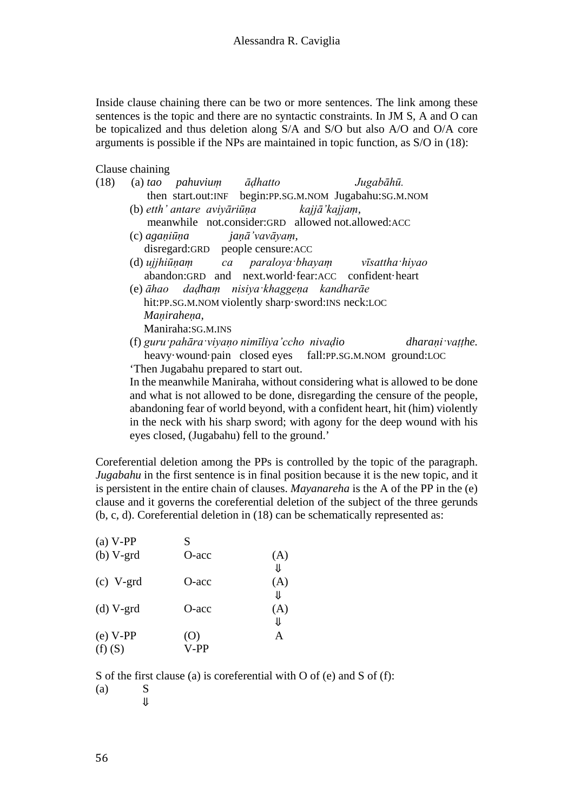Inside clause chaining there can be two or more sentences. The link among these sentences is the topic and there are no syntactic constraints. In JM S, A and O can be topicalized and thus deletion along S/A and S/O but also A/O and O/A core arguments is possible if the NPs are maintained in topic function, as S/O in (18):

Clause chaining

| (a) tao pahuvium ādhatto | Jugabāhū.                                                                                                                                                                                                                                                                                                                                                                                                                                                                                                                                                                                         |
|--------------------------|---------------------------------------------------------------------------------------------------------------------------------------------------------------------------------------------------------------------------------------------------------------------------------------------------------------------------------------------------------------------------------------------------------------------------------------------------------------------------------------------------------------------------------------------------------------------------------------------------|
|                          |                                                                                                                                                                                                                                                                                                                                                                                                                                                                                                                                                                                                   |
|                          |                                                                                                                                                                                                                                                                                                                                                                                                                                                                                                                                                                                                   |
|                          |                                                                                                                                                                                                                                                                                                                                                                                                                                                                                                                                                                                                   |
|                          |                                                                                                                                                                                                                                                                                                                                                                                                                                                                                                                                                                                                   |
|                          |                                                                                                                                                                                                                                                                                                                                                                                                                                                                                                                                                                                                   |
|                          |                                                                                                                                                                                                                                                                                                                                                                                                                                                                                                                                                                                                   |
|                          |                                                                                                                                                                                                                                                                                                                                                                                                                                                                                                                                                                                                   |
|                          |                                                                                                                                                                                                                                                                                                                                                                                                                                                                                                                                                                                                   |
|                          |                                                                                                                                                                                                                                                                                                                                                                                                                                                                                                                                                                                                   |
| Manirahena,              |                                                                                                                                                                                                                                                                                                                                                                                                                                                                                                                                                                                                   |
| Maniraha:SG.M.INS        |                                                                                                                                                                                                                                                                                                                                                                                                                                                                                                                                                                                                   |
|                          | dharani vatthe.                                                                                                                                                                                                                                                                                                                                                                                                                                                                                                                                                                                   |
|                          |                                                                                                                                                                                                                                                                                                                                                                                                                                                                                                                                                                                                   |
|                          |                                                                                                                                                                                                                                                                                                                                                                                                                                                                                                                                                                                                   |
|                          | In the meanwhile Maniraha, without considering what is allowed to be done                                                                                                                                                                                                                                                                                                                                                                                                                                                                                                                         |
|                          | then start.out:INF begin:PP.SG.M.NOM Jugabahu:SG.M.NOM<br>(b) etth' antare avivāriūna kajjā' kajjam,<br>meanwhile not.consider:GRD allowed not.allowed:ACC<br>(c) aganiūna janā'vavāyam,<br>disregard:GRD people censure:ACC<br>(d) ujihiūnam ca paraloya bhayam vīsattha hiyao<br>abandon: GRD and next.world.fear: ACC confident.heart<br>(e) āhao dadham nisiya khaggena kandharāe<br>hit:PP.SG.M.NOM violently sharp sword: INS neck:LOC<br>(f) guru pahāra viyaņo nimīliya 'ccho nivadio<br>heavy·wound·pain closed eyes fall:PP.SG.M.NOM ground:LOC<br>Then Jugabahu prepared to start out. |

and what is not allowed to be done, disregarding the censure of the people, abandoning fear of world beyond, with a confident heart, hit (him) violently in the neck with his sharp sword; with agony for the deep wound with his eyes closed, (Jugabahu) fell to the ground.'

Coreferential deletion among the PPs is controlled by the topic of the paragraph. *Jugabahu* in the first sentence is in final position because it is the new topic, and it is persistent in the entire chain of clauses. *Mayanareha* is the A of the PP in the (e) clause and it governs the coreferential deletion of the subject of the three gerunds (b, c, d). Coreferential deletion in (18) can be schematically represented as:

| $(a) V-PP$                | S.          |           |
|---------------------------|-------------|-----------|
| $(b)$ V-grd               | $O$ -acc    | (A)<br>Jl |
| $(c)$ V-grd               | $O$ -acc    | (A)<br>Jl |
| $(d)$ V-grd               | $O$ -acc    | (A)<br>⇓  |
| $(e) V-PP$<br>$(f)$ $(S)$ | (O)<br>V-PP | A         |

S of the first clause (a) is coreferential with O of (e) and S of (f):

 $(a)$  S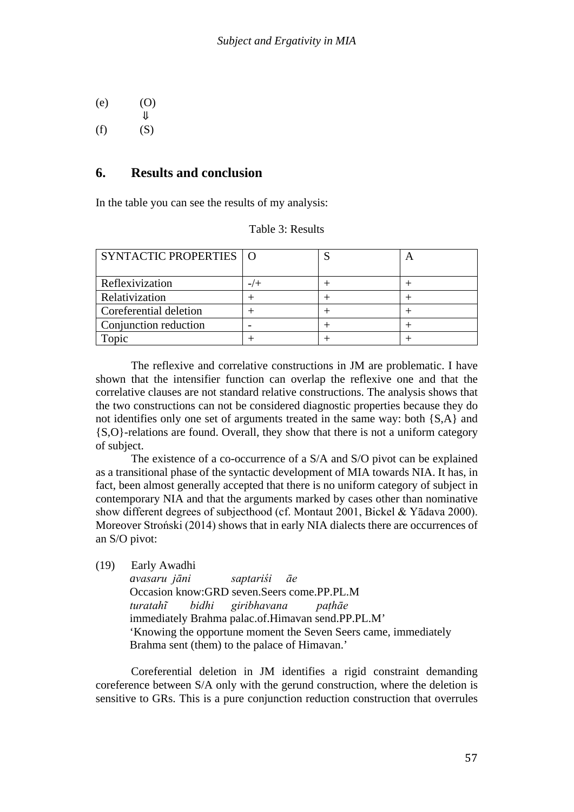$(e)$  (O) ⇓  $(f)$   $(S)$ 

#### **6. Results and conclusion**

In the table you can see the results of my analysis:

|  | Table 3: Results |
|--|------------------|
|  |                  |

| SYNTACTIC PROPERTIES   O |  |  |
|--------------------------|--|--|
| Reflexivization          |  |  |
| Relativization           |  |  |
| Coreferential deletion   |  |  |
| Conjunction reduction    |  |  |
| 'opic                    |  |  |

The reflexive and correlative constructions in JM are problematic. I have shown that the intensifier function can overlap the reflexive one and that the correlative clauses are not standard relative constructions. The analysis shows that the two constructions can not be considered diagnostic properties because they do not identifies only one set of arguments treated in the same way: both {S,A} and {S,O}-relations are found. Overall, they show that there is not a uniform category of subject.

The existence of a co-occurrence of a S/A and S/O pivot can be explained as a transitional phase of the syntactic development of MIA towards NIA. It has, in fact, been almost generally accepted that there is no uniform category of subject in contemporary NIA and that the arguments marked by cases other than nominative show different degrees of subjecthood (cf. Montaut 2001, Bickel & Yādava 2000). Moreover Stroński (2014) shows that in early NIA dialects there are occurrences of an S/O pivot:

(19) Early Awadhi

*avasaru jāni saptariśi āe* Occasion know:GRD seven.Seers come.PP.PL.M *turatahĩ bidhi giribhavana paṭhāe* immediately Brahma palac.of.Himavan send.PP.PL.M' 'Knowing the opportune moment the Seven Seers came, immediately Brahma sent (them) to the palace of Himavan.'

Coreferential deletion in JM identifies a rigid constraint demanding coreference between S/A only with the gerund construction, where the deletion is sensitive to GRs. This is a pure conjunction reduction construction that overrules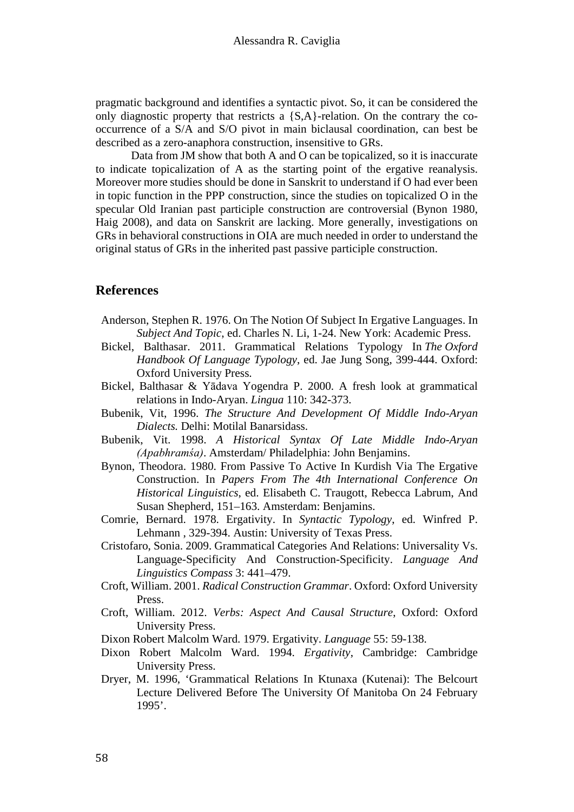pragmatic background and identifies a syntactic pivot. So, it can be considered the only diagnostic property that restricts a {S,A}-relation. On the contrary the cooccurrence of a S/A and S/O pivot in main biclausal coordination, can best be described as a zero-anaphora construction, insensitive to GRs.

Data from JM show that both A and O can be topicalized, so it is inaccurate to indicate topicalization of A as the starting point of the ergative reanalysis. Moreover more studies should be done in Sanskrit to understand if O had ever been in topic function in the PPP construction, since the studies on topicalized O in the specular Old Iranian past participle construction are controversial (Bynon 1980, Haig 2008), and data on Sanskrit are lacking. More generally, investigations on GRs in behavioral constructions in OIA are much needed in order to understand the original status of GRs in the inherited past passive participle construction.

#### **References**

- Anderson, Stephen R. 1976. On The Notion Of Subject In Ergative Languages. In *Subject And Topic*, ed. Charles N. Li, 1-24. New York: Academic Press.
- Bickel, Balthasar. 2011. Grammatical Relations Typology In *The Oxford Handbook Of Language Typology*, ed. Jae Jung Song, 399-444. Oxford: Oxford University Press.
- Bickel, Balthasar & Yādava Yogendra P. 2000. A fresh look at grammatical relations in Indo-Aryan. *Lingua* 110: 342-373.
- Bubenik, Vit, 1996. *The Structure And Development Of Middle Indo-Aryan Dialects.* Delhi: Motilal Banarsidass.
- Bubenik, Vit. 1998. *A Historical Syntax Of Late Middle Indo-Aryan (Apabhramśa)*. Amsterdam/ Philadelphia: John Benjamins.
- Bynon, Theodora. 1980. From Passive To Active In Kurdish Via The Ergative Construction. In *Papers From The 4th International Conference On Historical Linguistics*, ed. Elisabeth C. Traugott, Rebecca Labrum, And Susan Shepherd, 151–163. Amsterdam: Benjamins.
- Comrie, Bernard. 1978. Ergativity. In *Syntactic Typology*, ed. Winfred P. Lehmann , 329-394. Austin: University of Texas Press.
- Cristofaro, Sonia. 2009. Grammatical Categories And Relations: Universality Vs. Language-Specificity And Construction-Specificity. *Language And Linguistics Compass* 3: 441–479.
- Croft, William. 2001. *Radical Construction Grammar*. Oxford: Oxford University Press.
- Croft, William. 2012. *Verbs: Aspect And Causal Structure*, Oxford: Oxford University Press.
- Dixon Robert Malcolm Ward. 1979. Ergativity. *Language* 55: 59-138.
- Dixon Robert Malcolm Ward. 1994. *Ergativity*, Cambridge: Cambridge University Press.
- Dryer, M. 1996, 'Grammatical Relations In Ktunaxa (Kutenai): The Belcourt Lecture Delivered Before The University Of Manitoba On 24 February 1995'.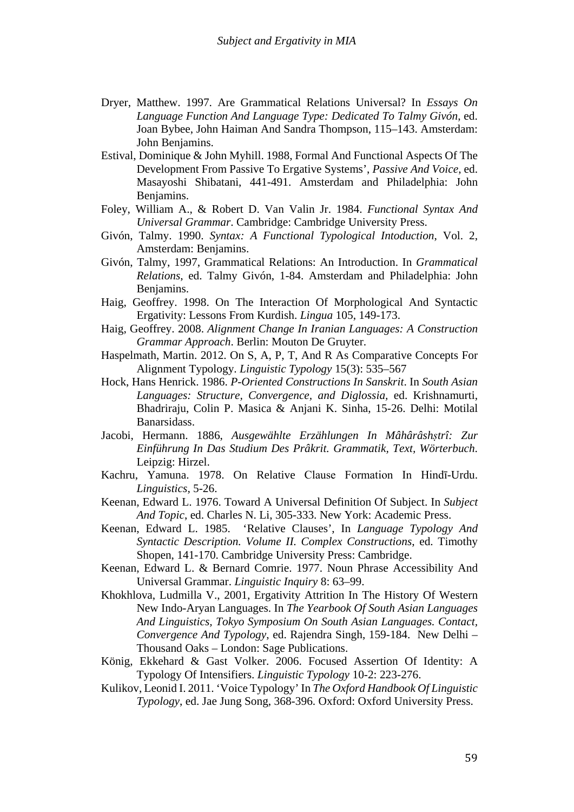- Dryer, Matthew. 1997. Are Grammatical Relations Universal? In *Essays On Language Function And Language Type: Dedicated To Talmy Givón*, ed. Joan Bybee, John Haiman And Sandra Thompson, 115–143. Amsterdam: John Benjamins.
- Estival, Dominique & John Myhill. 1988, Formal And Functional Aspects Of The Development From Passive To Ergative Systems', *Passive And Voice*, ed. Masayoshi Shibatani, 441-491. Amsterdam and Philadelphia: John Benjamins.
- Foley, William A., & Robert D. Van Valin Jr. 1984. *Functional Syntax And Universal Grammar*. Cambridge: Cambridge University Press.
- Givón, Talmy. 1990. *Syntax: A Functional Typological Intoduction*, Vol. 2, Amsterdam: Benjamins.
- Givón, Talmy, 1997, Grammatical Relations: An Introduction. In *Grammatical Relations*, ed. Talmy Givón, 1-84. Amsterdam and Philadelphia: John Benjamins.
- Haig, Geoffrey. 1998. On The Interaction Of Morphological And Syntactic Ergativity: Lessons From Kurdish. *Lingua* 105, 149-173.
- Haig, Geoffrey. 2008. *Alignment Change In Iranian Languages: A Construction Grammar Approach*. Berlin: Mouton De Gruyter.
- Haspelmath, Martin. 2012. On S, A, P, T, And R As Comparative Concepts For Alignment Typology. *Linguistic Typology* 15(3): 535–567
- Hock, Hans Henrick. 1986. *P-Oriented Constructions In Sanskrit*. In *South Asian Languages: Structure, Convergence, and Diglossia,* ed. Krishnamurti, Bhadriraju, Colin P. Masica & Anjani K. Sinha, 15-26. Delhi: Motilal Banarsidass.
- Jacobi, Hermann. 1886, *Ausgewählte Erzählungen In Mâhârâshṣtrî: Zur Einführung In Das Studium Des Prâkrit. Grammatik, Text, Wörterbuch*. Leipzig: Hirzel.
- Kachru, Yamuna. 1978. On Relative Clause Formation In Hindī-Urdu. *Linguistics,* 5-26.
- Keenan, Edward L. 1976. Toward A Universal Definition Of Subject. In *Subject And Topic*, ed. Charles N. Li, 305-333. New York: Academic Press.
- Keenan, Edward L. 1985. 'Relative Clauses', In *Language Typology And Syntactic Description. Volume II. Complex Constructions*, ed. Timothy Shopen, 141-170. Cambridge University Press: Cambridge.
- Keenan, Edward L. & Bernard Comrie. 1977. Noun Phrase Accessibility And Universal Grammar. *Linguistic Inquiry* 8: 63–99.
- Khokhlova, Ludmilla V., 2001, Ergativity Attrition In The History Of Western New Indo-Aryan Languages. In *The Yearbook Of South Asian Languages And Linguistics, Tokyo Symposium On South Asian Languages. Contact, Convergence And Typology*, ed. Rajendra Singh, 159-184. New Delhi – Thousand Oaks – London: Sage Publications.
- König, Ekkehard & Gast Volker. 2006. Focused Assertion Of Identity: A Typology Of Intensifiers. *Linguistic Typology* 10-2: 223-276.
- Kulikov, Leonid I. 2011. 'Voice Typology' In *The Oxford Handbook Of Linguistic Typology*, ed. Jae Jung Song, 368-396. Oxford: Oxford University Press.